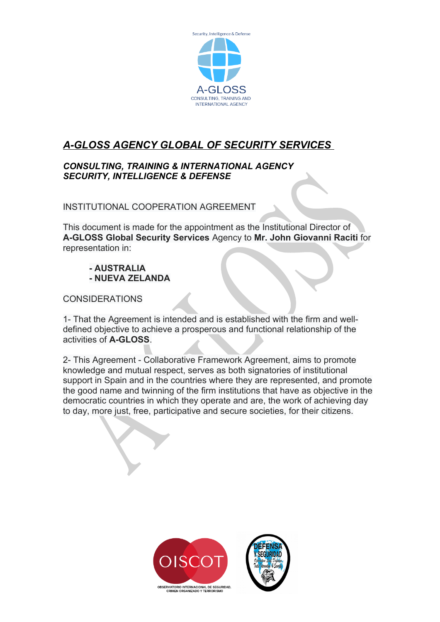

## *A-GLOSS AGENCY GLOBAL OF SECURITY SERVICES*

## *CONSULTING, TRAINING & INTERNATIONAL AGENCY SECURITY, INTELLIGENCE & DEFENSE*

INSTITUTIONAL COOPERATION AGREEMENT

This document is made for the appointment as the Institutional Director of **A-GLOSS Global Security Services** Agency to **Mr. John Giovanni Raciti** for representation in:

## **- AUSTRALIA - NUEVA ZELANDA**

CONSIDERATIONS

1- That the Agreement is intended and is established with the firm and welldefined objective to achieve a prosperous and functional relationship of the activities of **A-GLOSS**.

2- This Agreement - Collaborative Framework Agreement, aims to promote knowledge and mutual respect, serves as both signatories of institutional support in Spain and in the countries where they are represented, and promote the good name and twinning of the firm institutions that have as objective in the democratic countries in which they operate and are, the work of achieving day to day, more just, free, participative and secure societies, for their citizens.

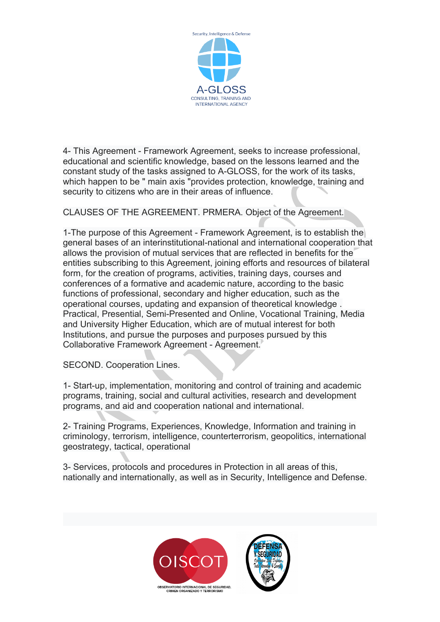

4- This Agreement - Framework Agreement, seeks to increase professional, educational and scientific knowledge, based on the lessons learned and the constant study of the tasks assigned to A-GLOSS, for the work of its tasks, which happen to be " main axis "provides protection, knowledge, training and security to citizens who are in their areas of influence.

CLAUSES OF THE AGREEMENT. PRMERA. Object of the Agreement.

1-The purpose of this Agreement - Framework Agreement, is to establish the general bases of an interinstitutional-national and international cooperation that allows the provision of mutual services that are reflected in benefits for the entities subscribing to this Agreement, joining efforts and resources of bilateral form, for the creation of programs, activities, training days, courses and conferences of a formative and academic nature, according to the basic functions of professional, secondary and higher education, such as the operational courses, updating and expansion of theoretical knowledge . Practical, Presential, Semi-Presented and Online, Vocational Training, Media and University Higher Education, which are of mutual interest for both Institutions, and pursue the purposes and purposes pursued by this Collaborative Framework Agreement - Agreement.

SECOND. Cooperation Lines.

1- Start-up, implementation, monitoring and control of training and academic programs, training, social and cultural activities, research and development programs, and aid and cooperation national and international.

2- Training Programs, Experiences, Knowledge, Information and training in criminology, terrorism, intelligence, counterterrorism, geopolitics, international geostrategy, tactical, operational

3- Services, protocols and procedures in Protection in all areas of this, nationally and internationally, as well as in Security, Intelligence and Defense.

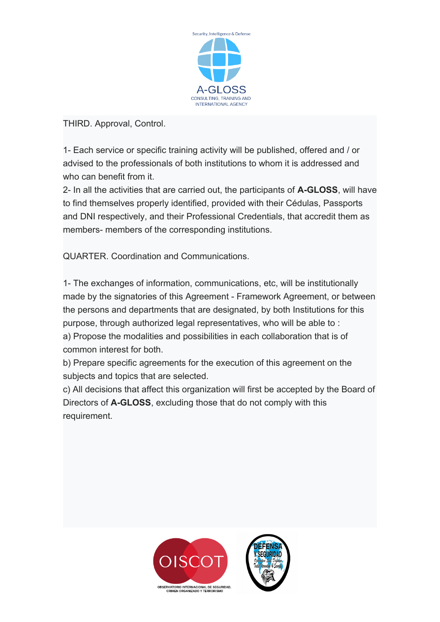

THIRD. Approval, Control.

1- Each service or specific training activity will be published, offered and / or advised to the professionals of both institutions to whom it is addressed and who can benefit from it.

2- In all the activities that are carried out, the participants of **A-GLOSS**, will have to find themselves properly identified, provided with their Cédulas, Passports and DNI respectively, and their Professional Credentials, that accredit them as members- members of the corresponding institutions.

QUARTER. Coordination and Communications.

1- The exchanges of information, communications, etc, will be institutionally made by the signatories of this Agreement - Framework Agreement, or between the persons and departments that are designated, by both Institutions for this purpose, through authorized legal representatives, who will be able to : a) Propose the modalities and possibilities in each collaboration that is of common interest for both.

b) Prepare specific agreements for the execution of this agreement on the subjects and topics that are selected.

c) All decisions that affect this organization will first be accepted by the Board of Directors of **A-GLOSS**, excluding those that do not comply with this requirement.

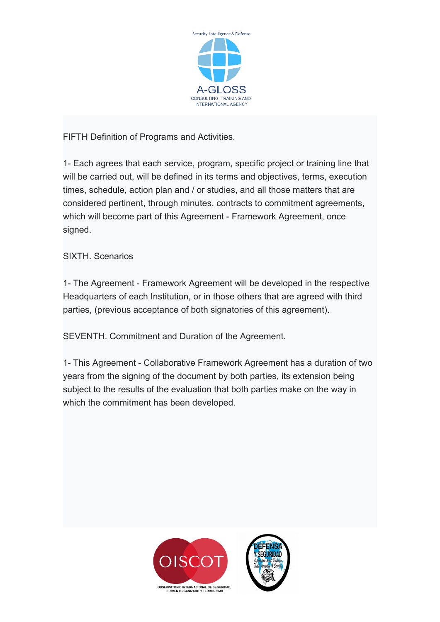

FIFTH Definition of Programs and Activities.

1- Each agrees that each service, program, specific project or training line that will be carried out, will be defined in its terms and objectives, terms, execution times, schedule, action plan and / or studies, and all those matters that are considered pertinent, through minutes, contracts to commitment agreements, which will become part of this Agreement - Framework Agreement, once signed.

SIXTH. Scenarios

1- The Agreement - Framework Agreement will be developed in the respective Headquarters of each Institution, or in those others that are agreed with third parties, (previous acceptance of both signatories of this agreement).

SEVENTH. Commitment and Duration of the Agreement.

1- This Agreement - Collaborative Framework Agreement has a duration of two years from the signing of the document by both parties, its extension being subject to the results of the evaluation that both parties make on the way in which the commitment has been developed.

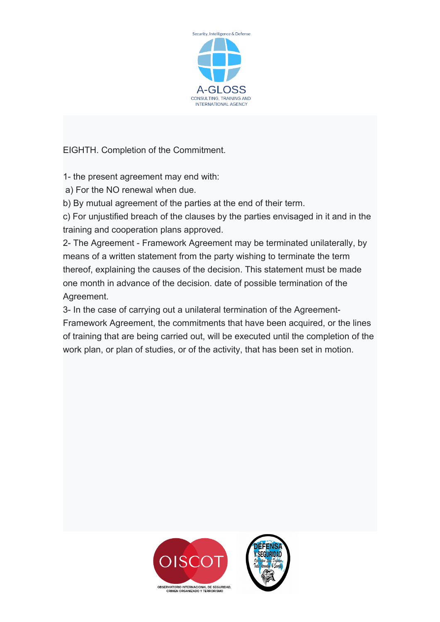

EIGHTH. Completion of the Commitment.

1- the present agreement may end with:

a) For the NO renewal when due.

b) By mutual agreement of the parties at the end of their term.

c) For unjustified breach of the clauses by the parties envisaged in it and in the training and cooperation plans approved.

2- The Agreement - Framework Agreement may be terminated unilaterally, by means of a written statement from the party wishing to terminate the term thereof, explaining the causes of the decision. This statement must be made one month in advance of the decision. date of possible termination of the Agreement.

3- In the case of carrying out a unilateral termination of the Agreement-Framework Agreement, the commitments that have been acquired, or the lines of training that are being carried out, will be executed until the completion of the work plan, or plan of studies, or of the activity, that has been set in motion.

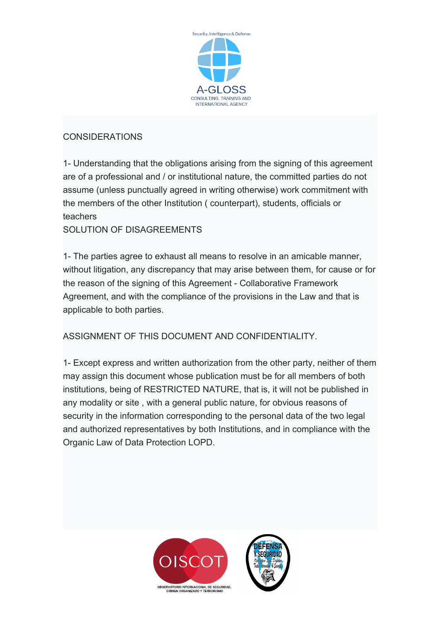

## CONSIDERATIONS

1- Understanding that the obligations arising from the signing of this agreement are of a professional and / or institutional nature, the committed parties do not assume (unless punctually agreed in writing otherwise) work commitment with the members of the other Institution ( counterpart), students, officials or teachers

SOLUTION OF DISAGREEMENTS

1- The parties agree to exhaust all means to resolve in an amicable manner, without litigation, any discrepancy that may arise between them, for cause or for the reason of the signing of this Agreement - Collaborative Framework Agreement, and with the compliance of the provisions in the Law and that is applicable to both parties.

ASSIGNMENT OF THIS DOCUMENT AND CONFIDENTIALITY.

1- Except express and written authorization from the other party, neither of them may assign this document whose publication must be for all members of both institutions, being of RESTRICTED NATURE, that is, it will not be published in any modality or site , with a general public nature, for obvious reasons of security in the information corresponding to the personal data of the two legal and authorized representatives by both Institutions, and in compliance with the Organic Law of Data Protection LOPD.